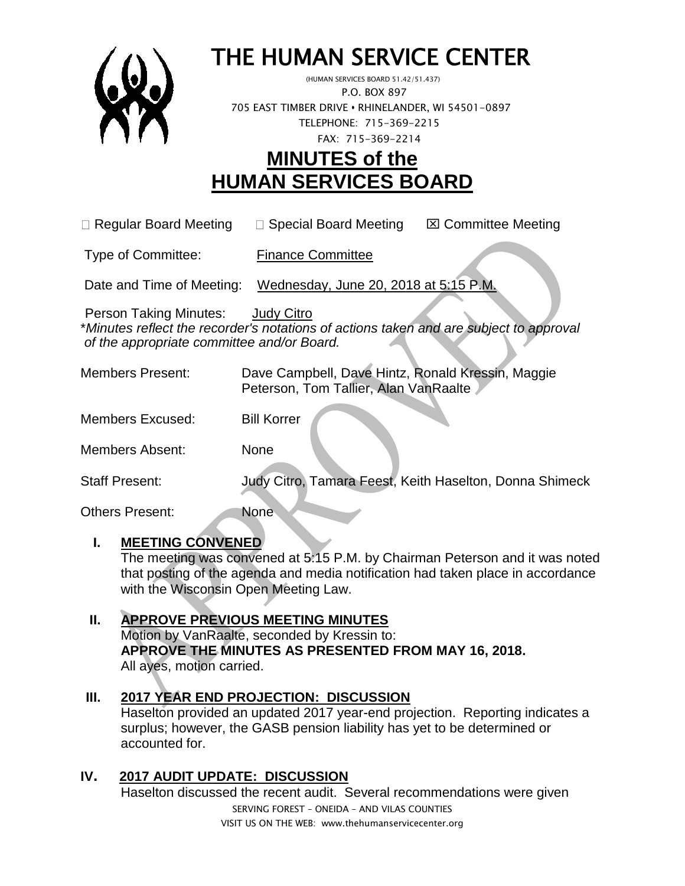

# THE HUMAN SERVICE CENTER

 (HUMAN SERVICES BOARD 51.42/51.437) P.O. BOX 897 705 EAST TIMBER DRIVE **•** RHINELANDER, WI 54501-0897 TELEPHONE: 715-369-2215 FAX: 715-369-2214

## **MINUTES of the HUMAN SERVICES BOARD**

 $\Box$  Regular Board Meeting  $\Box$  Special Board Meeting  $\Box$  Committee Meeting

Type of Committee: Finance Committee

Date and Time of Meeting: Wednesday, June 20, 2018 at 5:15 P.M.

Person Taking Minutes: Judy Citro

\**Minutes reflect the recorder's notations of actions taken and are subject to approval of the appropriate committee and/or Board.*

| Members Present: |                                       | Dave Campbell, Dave Hintz, Ronald Kressin, Maggie |
|------------------|---------------------------------------|---------------------------------------------------|
|                  | Peterson, Tom Tallier, Alan VanRaalte |                                                   |

Members Excused: Bill Korrer

Members Absent: None

Staff Present: Judy Citro, Tamara Feest, Keith Haselton, Donna Shimeck

Others Present: None

### **I. MEETING CONVENED**

The meeting was convened at 5:15 P.M. by Chairman Peterson and it was noted that posting of the agenda and media notification had taken place in accordance with the Wisconsin Open Meeting Law.

### **II. APPROVE PREVIOUS MEETING MINUTES**

Motion by VanRaalte, seconded by Kressin to: **APPROVE THE MINUTES AS PRESENTED FROM MAY 16, 2018.**  All ayes, motion carried.

### **III. 2017 YEAR END PROJECTION: DISCUSSION**

Haselton provided an updated 2017 year-end projection. Reporting indicates a surplus; however, the GASB pension liability has yet to be determined or accounted for.

### **IV. 2017 AUDIT UPDATE: DISCUSSION**

Haselton discussed the recent audit. Several recommendations were given

SERVING FOREST – ONEIDA – AND VILAS COUNTIES VISIT US ON THE WEB: www.thehumanservicecenter.org